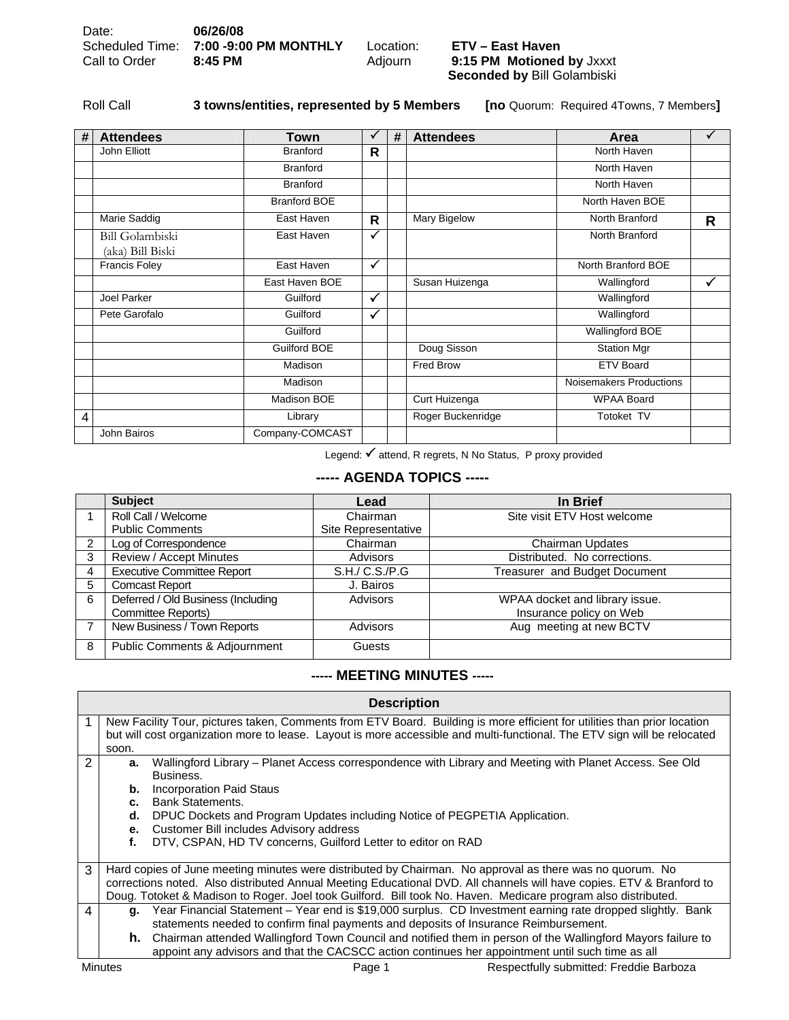**Seconded by** Bill Golambiski

Roll Call **3 towns/entities, represented by 5 Members [no** Quorum: Required 4Towns, 7 Members**]** 

| # | <b>Attendees</b>                           | <b>Town</b>         | ✓            | # | <b>Attendees</b>  | Area                    | ✓ |
|---|--------------------------------------------|---------------------|--------------|---|-------------------|-------------------------|---|
|   | John Elliott                               | <b>Branford</b>     | R            |   |                   | North Haven             |   |
|   |                                            | <b>Branford</b>     |              |   |                   | North Haven             |   |
|   |                                            | <b>Branford</b>     |              |   |                   | North Haven             |   |
|   |                                            | <b>Branford BOE</b> |              |   |                   | North Haven BOE         |   |
|   | Marie Saddig                               | East Haven          | R            |   | Mary Bigelow      | North Branford          | R |
|   | <b>Bill Golambiski</b><br>(aka) Bill Biski | East Haven          | $\checkmark$ |   |                   | North Branford          |   |
|   | <b>Francis Foley</b>                       | East Haven          | ✓            |   |                   | North Branford BOE      |   |
|   |                                            | East Haven BOE      |              |   | Susan Huizenga    | Wallingford             | ✓ |
|   | Joel Parker                                | Guilford            | $\checkmark$ |   |                   | Wallingford             |   |
|   | Pete Garofalo                              | Guilford            | $\checkmark$ |   |                   | Wallingford             |   |
|   |                                            | Guilford            |              |   |                   | Wallingford BOE         |   |
|   |                                            | Guilford BOE        |              |   | Doug Sisson       | <b>Station Mgr</b>      |   |
|   |                                            | Madison             |              |   | Fred Brow         | <b>ETV Board</b>        |   |
|   |                                            | Madison             |              |   |                   | Noisemakers Productions |   |
|   |                                            | Madison BOE         |              |   | Curt Huizenga     | <b>WPAA Board</b>       |   |
| 4 |                                            | Library             |              |   | Roger Buckenridge | Totoket TV              |   |
|   | John Bairos                                | Company-COMCAST     |              |   |                   |                         |   |

Legend: √ attend, R regrets, N No Status, P proxy provided

## **----- AGENDA TOPICS -----**

|   | <b>Subject</b>                     | Lead                | In Brief                       |
|---|------------------------------------|---------------------|--------------------------------|
|   | Roll Call / Welcome                | Chairman            | Site visit ETV Host welcome    |
|   | <b>Public Comments</b>             | Site Representative |                                |
|   | Log of Correspondence              | Chairman            | Chairman Updates               |
| 3 | Review / Accept Minutes            | Advisors            | Distributed. No corrections.   |
| 4 | <b>Executive Committee Report</b>  | S.H./ C.S./P.G      | Treasurer and Budget Document  |
| 5 | <b>Comcast Report</b>              | J. Bairos           |                                |
| 6 | Deferred / Old Business (Including | Advisors            | WPAA docket and library issue. |
|   | Committee Reports)                 |                     | Insurance policy on Web        |
|   | New Business / Town Reports        | <b>Advisors</b>     | Aug meeting at new BCTV        |
| 8 | Public Comments & Adjournment      | Guests              |                                |

## **----- MEETING MINUTES -----**

|                | <b>Description</b>                                                                                                         |                                                                                                             |  |  |  |  |  |
|----------------|----------------------------------------------------------------------------------------------------------------------------|-------------------------------------------------------------------------------------------------------------|--|--|--|--|--|
|                | New Facility Tour, pictures taken, Comments from ETV Board. Building is more efficient for utilities than prior location   |                                                                                                             |  |  |  |  |  |
|                | but will cost organization more to lease. Layout is more accessible and multi-functional. The ETV sign will be relocated   |                                                                                                             |  |  |  |  |  |
|                | soon.                                                                                                                      |                                                                                                             |  |  |  |  |  |
| $\overline{2}$ | Wallingford Library - Planet Access correspondence with Library and Meeting with Planet Access. See Old<br>a.<br>Business. |                                                                                                             |  |  |  |  |  |
|                |                                                                                                                            |                                                                                                             |  |  |  |  |  |
|                | <b>Bank Statements.</b>                                                                                                    | Incorporation Paid Staus<br>b.                                                                              |  |  |  |  |  |
|                | C.                                                                                                                         |                                                                                                             |  |  |  |  |  |
|                | d.                                                                                                                         | DPUC Dockets and Program Updates including Notice of PEGPETIA Application.                                  |  |  |  |  |  |
|                | e.                                                                                                                         | Customer Bill includes Advisory address                                                                     |  |  |  |  |  |
|                | DTV, CSPAN, HD TV concerns, Guilford Letter to editor on RAD<br>f.                                                         |                                                                                                             |  |  |  |  |  |
|                |                                                                                                                            |                                                                                                             |  |  |  |  |  |
| 3              | Hard copies of June meeting minutes were distributed by Chairman. No approval as there was no quorum. No                   |                                                                                                             |  |  |  |  |  |
|                | corrections noted. Also distributed Annual Meeting Educational DVD. All channels will have copies. ETV & Branford to       |                                                                                                             |  |  |  |  |  |
|                | Doug. Totoket & Madison to Roger. Joel took Guilford. Bill took No. Haven. Medicare program also distributed.              |                                                                                                             |  |  |  |  |  |
| 4              | Year Financial Statement - Year end is \$19,000 surplus. CD Investment earning rate dropped slightly. Bank<br>q.           |                                                                                                             |  |  |  |  |  |
|                | statements needed to confirm final payments and deposits of Insurance Reimbursement.                                       |                                                                                                             |  |  |  |  |  |
|                | h.                                                                                                                         | Chairman attended Wallingford Town Council and notified them in person of the Wallingford Mayors failure to |  |  |  |  |  |
|                | appoint any advisors and that the CACSCC action continues her appointment until such time as all                           |                                                                                                             |  |  |  |  |  |
|                | <b>Minutes</b><br>Respectfully submitted: Freddie Barboza<br>Page 1                                                        |                                                                                                             |  |  |  |  |  |